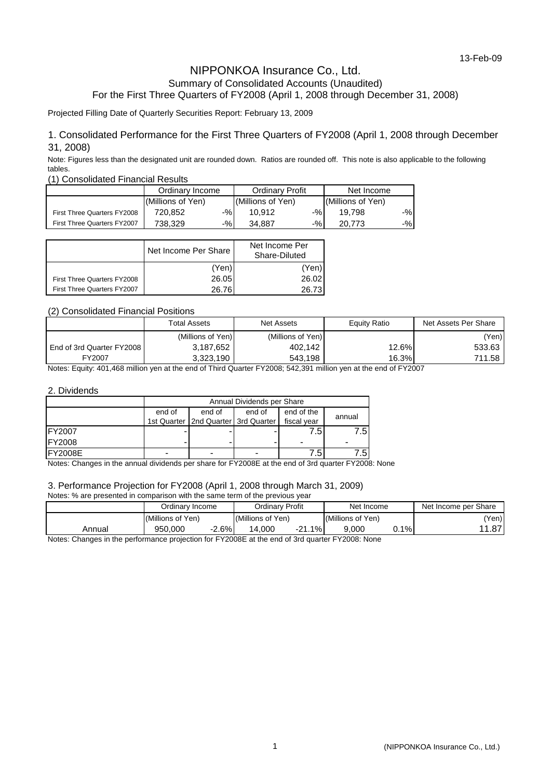### NIPPONKOA Insurance Co., Ltd. Summary of Consolidated Accounts (Unaudited) For the First Three Quarters of FY2008 (April 1, 2008 through December 31, 2008)

Projected Filling Date of Quarterly Securities Report: February 13, 2009

### 1. Consolidated Performance for the First Three Quarters of FY2008 (April 1, 2008 through December 31, 2008)

Note: Figures less than the designated unit are rounded down. Ratios are rounded off. This note is also applicable to the following tables.

#### (1) Consolidated Financial Results

|                             | Ordinary Income   |     | <b>Ordinary Profit</b> |       | Net Income        |       |
|-----------------------------|-------------------|-----|------------------------|-------|-------------------|-------|
|                             | (Millions of Yen) |     | (Millions of Yen)      |       | (Millions of Yen) |       |
| First Three Quarters FY2008 | 720.852           | -%I | 10.912                 | $-$ % | 19.798            | $-$ % |
| First Three Quarters FY2007 | 738.329           | -%I | 34.887                 | $-$ % | 20.773            | $-$ % |

|                                    | Net Income Per Share | Net Income Per<br>Share-Diluted |
|------------------------------------|----------------------|---------------------------------|
|                                    | (Yen)                | (Yen)                           |
| First Three Quarters FY2008        | 26.05                | 26.02                           |
| <b>First Three Quarters FY2007</b> | 26.76                | 26.73                           |

### (2) Consolidated Financial Positions

|                             | Total Assets      | <b>Net Assets</b> | Equity Ratio | Net Assets Per Share |
|-----------------------------|-------------------|-------------------|--------------|----------------------|
|                             | (Millions of Yen) | (Millions of Yen) |              | (Yen)                |
| End of 3rd Quarter FY2008 I | 3,187,652         | 402,142           | $12.6\%$     | 533.63               |
| FY2007                      | 3,323,190         | 543,198           | 16.3%        | 711.58               |

Notes: Equity: 401,468 million yen at the end of Third Quarter FY2008; 542,391 million yen at the end of FY2007

#### 2. Dividends

|                | Annual Dividends per Share |                                         |                          |             |        |  |  |
|----------------|----------------------------|-----------------------------------------|--------------------------|-------------|--------|--|--|
|                | end of                     | end of                                  | end of                   | end of the  | annual |  |  |
|                |                            | 1st Quarter   2nd Quarter   3rd Quarter |                          | fiscal vear |        |  |  |
| <b>FY2007</b>  |                            |                                         |                          | 7.5         | 7.5I   |  |  |
| <b>FY2008</b>  |                            |                                         |                          |             |        |  |  |
| <b>FY2008E</b> |                            | -                                       | $\overline{\phantom{0}}$ | - Б         | .5'    |  |  |

Notes: Changes in the annual dividends per share for FY2008E at the end of 3rd quarter FY2008: None

### 3. Performance Projection for FY2008 (April 1, 2008 through March 31, 2009)

#### Notes: % are presented in comparison with the same term of the previous year

|           | Ordinarv Profit<br>Ordinarv Income |                |                   | Net Income |                   | Net Income per Share |               |
|-----------|------------------------------------|----------------|-------------------|------------|-------------------|----------------------|---------------|
|           | (Millions of Yen)                  |                | (Millions of Yen) |            | (Millions of Yen) |                      | 'Yen)         |
| Annual    | 950.000                            | $-2.6%$        | 14.000            | $-21.1%$   | 9.000             | 0.1%                 | 14.07<br>1.01 |
| .<br>$ -$ |                                    | ______________ |                   | .          |                   |                      |               |

Notes: Changes in the performance projection for FY2008E at the end of 3rd quarter FY2008: None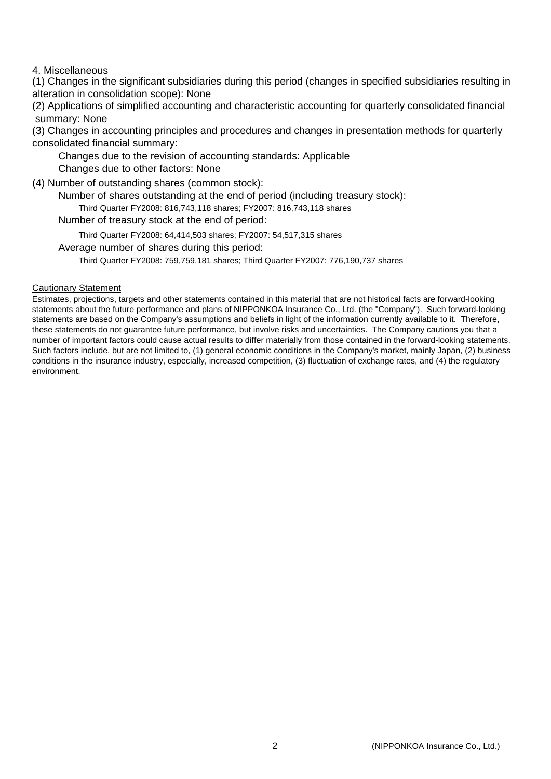## 4. Miscellaneous

(1) Changes in the significant subsidiaries during this period (changes in specified subsidiaries resulting in alteration in consolidation scope): None

(2) Applications of simplified accounting and characteristic accounting for quarterly consolidated financial summary: None

(3) Changes in accounting principles and procedures and changes in presentation methods for quarterly consolidated financial summary:

Changes due to the revision of accounting standards: Applicable

Changes due to other factors: None

(4) Number of outstanding shares (common stock):

Number of shares outstanding at the end of period (including treasury stock):

Third Quarter FY2008: 816,743,118 shares; FY2007: 816,743,118 shares

Number of treasury stock at the end of period:

Third Quarter FY2008: 64,414,503 shares; FY2007: 54,517,315 shares

Average number of shares during this period:

Third Quarter FY2008: 759,759,181 shares; Third Quarter FY2007: 776,190,737 shares

### Cautionary Statement

Estimates, projections, targets and other statements contained in this material that are not historical facts are forward-looking statements about the future performance and plans of NIPPONKOA Insurance Co., Ltd. (the "Company"). Such forward-looking statements are based on the Company's assumptions and beliefs in light of the information currently available to it. Therefore, these statements do not guarantee future performance, but involve risks and uncertainties. The Company cautions you that a number of important factors could cause actual results to differ materially from those contained in the forward-looking statements. Such factors include, but are not limited to, (1) general economic conditions in the Company's market, mainly Japan, (2) business conditions in the insurance industry, especially, increased competition, (3) fluctuation of exchange rates, and (4) the regulatory environment.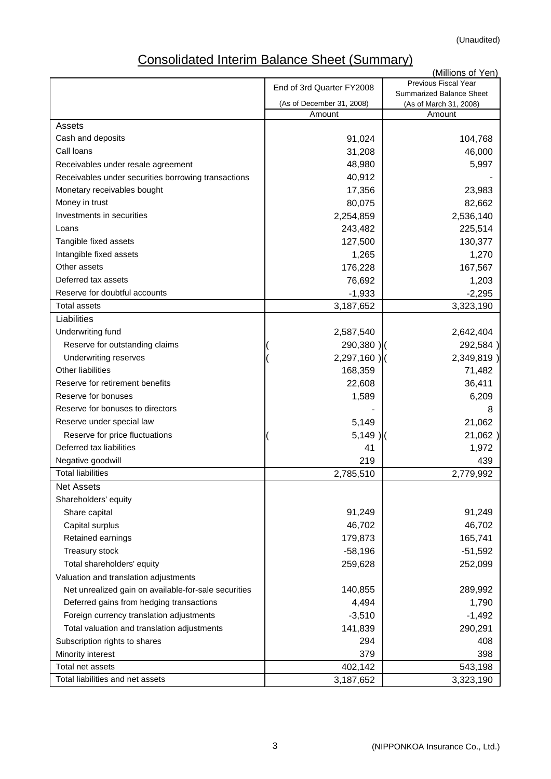# Consolidated Interim Balance Sheet (Summary)

|                                                      |                           | (Millions of Yen)                                |
|------------------------------------------------------|---------------------------|--------------------------------------------------|
|                                                      | End of 3rd Quarter FY2008 | Previous Fiscal Year<br>Summarized Balance Sheet |
|                                                      | (As of December 31, 2008) | (As of March 31, 2008)                           |
|                                                      | Amount                    | Amount                                           |
| Assets                                               |                           |                                                  |
| Cash and deposits                                    | 91,024                    | 104,768                                          |
| Call Ioans                                           | 31,208                    | 46,000                                           |
| Receivables under resale agreement                   | 48,980                    | 5,997                                            |
| Receivables under securities borrowing transactions  | 40,912                    |                                                  |
| Monetary receivables bought                          | 17,356                    | 23,983                                           |
| Money in trust                                       | 80,075                    | 82,662                                           |
| Investments in securities                            | 2,254,859                 | 2,536,140                                        |
| Loans                                                | 243,482                   | 225,514                                          |
| Tangible fixed assets                                | 127,500                   | 130,377                                          |
| Intangible fixed assets                              | 1,265                     | 1,270                                            |
| Other assets                                         | 176,228                   | 167,567                                          |
| Deferred tax assets                                  | 76,692                    | 1,203                                            |
| Reserve for doubtful accounts                        | $-1,933$                  | $-2,295$                                         |
| <b>Total assets</b>                                  | 3,187,652                 | 3,323,190                                        |
| Liabilities                                          |                           |                                                  |
| Underwriting fund                                    | 2,587,540                 | 2,642,404                                        |
| Reserve for outstanding claims                       | 290,380)                  | 292,584)                                         |
| Underwriting reserves                                | $2,297,160$ )             | 2,349,819)                                       |
| <b>Other liabilities</b>                             | 168,359                   | 71,482                                           |
| Reserve for retirement benefits                      | 22,608                    | 36,411                                           |
| Reserve for bonuses                                  | 1,589                     | 6,209                                            |
| Reserve for bonuses to directors                     |                           | 8                                                |
| Reserve under special law                            | 5,149                     | 21,062                                           |
| Reserve for price fluctuations                       | $5,149$ )                 | 21,062)                                          |
| Deferred tax liabilities                             | 41                        | 1,972                                            |
| Negative goodwill                                    | 219                       | 439                                              |
| <b>Total liabilities</b>                             | 2,785,510                 | 2,779,992                                        |
| Net Assets                                           |                           |                                                  |
| Shareholders' equity                                 |                           |                                                  |
| Share capital                                        | 91,249                    | 91,249                                           |
| Capital surplus                                      | 46,702                    | 46,702                                           |
| Retained earnings                                    | 179,873                   | 165,741                                          |
| Treasury stock                                       | $-58,196$                 | $-51,592$                                        |
| Total shareholders' equity                           | 259,628                   | 252,099                                          |
| Valuation and translation adjustments                |                           |                                                  |
| Net unrealized gain on available-for-sale securities | 140,855                   | 289,992                                          |
| Deferred gains from hedging transactions             | 4,494                     | 1,790                                            |
| Foreign currency translation adjustments             | $-3,510$                  | $-1,492$                                         |
| Total valuation and translation adjustments          | 141,839                   | 290,291                                          |
| Subscription rights to shares                        | 294                       | 408                                              |
| Minority interest                                    | 379                       | 398                                              |
| Total net assets                                     | 402,142                   | 543,198                                          |
| Total liabilities and net assets                     | 3,187,652                 | 3,323,190                                        |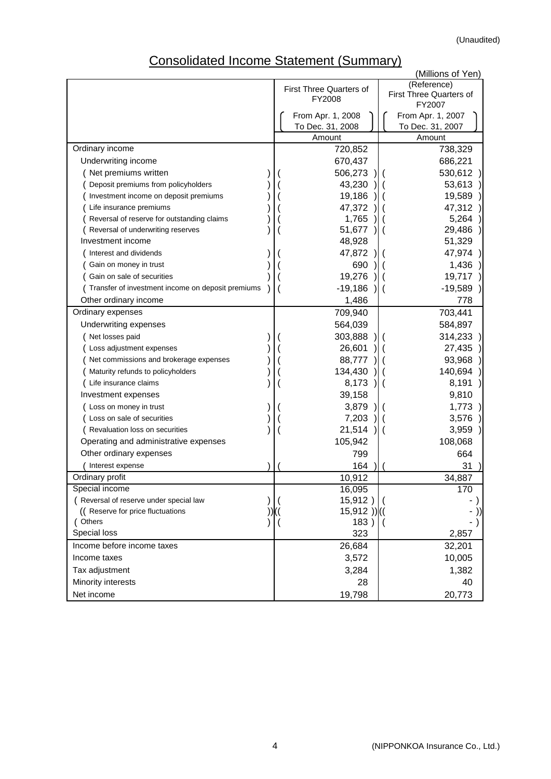# Consolidated Income Statement (Summary)

| (Millions of Yen)                                 |  |                                |             |                                          |  |  |  |  |
|---------------------------------------------------|--|--------------------------------|-------------|------------------------------------------|--|--|--|--|
|                                                   |  | <b>First Three Quarters of</b> | (Reference) |                                          |  |  |  |  |
|                                                   |  | FY2008                         |             | <b>First Three Quarters of</b><br>FY2007 |  |  |  |  |
|                                                   |  | From Apr. 1, 2008              |             | From Apr. 1, 2007                        |  |  |  |  |
|                                                   |  | To Dec. 31, 2008               |             | To Dec. 31, 2007                         |  |  |  |  |
|                                                   |  | Amount                         |             | Amount                                   |  |  |  |  |
| Ordinary income                                   |  | 720,852                        |             | 738,329                                  |  |  |  |  |
| Underwriting income                               |  | 670,437                        |             | 686,221                                  |  |  |  |  |
| Net premiums written                              |  | 506,273                        |             | 530,612                                  |  |  |  |  |
| Deposit premiums from policyholders               |  | 43,230                         |             | 53,613                                   |  |  |  |  |
| Investment income on deposit premiums             |  | 19,186                         |             | 19,589                                   |  |  |  |  |
| Life insurance premiums                           |  | 47,372                         |             | 47,312                                   |  |  |  |  |
| Reversal of reserve for outstanding claims        |  | 1,765                          |             | 5,264                                    |  |  |  |  |
| Reversal of underwriting reserves                 |  | 51,677                         |             | 29,486                                   |  |  |  |  |
| Investment income                                 |  | 48,928                         |             | 51,329                                   |  |  |  |  |
| Interest and dividends                            |  | 47,872                         |             | 47,974                                   |  |  |  |  |
| Gain on money in trust                            |  | 690                            |             | 1,436                                    |  |  |  |  |
| Gain on sale of securities                        |  | 19,276                         |             | 19,717                                   |  |  |  |  |
| Transfer of investment income on deposit premiums |  | $-19,186$                      |             | $-19,589$                                |  |  |  |  |
| Other ordinary income                             |  | 1,486                          |             | 778                                      |  |  |  |  |
| Ordinary expenses                                 |  | 709,940                        |             | 703,441                                  |  |  |  |  |
| Underwriting expenses                             |  | 564,039                        |             | 584,897                                  |  |  |  |  |
| Net losses paid                                   |  | 303,888                        |             | 314,233                                  |  |  |  |  |
| Loss adjustment expenses                          |  | 26,601                         |             | 27,435                                   |  |  |  |  |
| Net commissions and brokerage expenses            |  | 88,777                         |             | 93,968                                   |  |  |  |  |
| Maturity refunds to policyholders                 |  | 134,430                        |             | 140,694                                  |  |  |  |  |
| (Life insurance claims                            |  | 8,173                          |             | 8,191                                    |  |  |  |  |
| Investment expenses                               |  | 39,158                         |             | 9,810                                    |  |  |  |  |
| (Loss on money in trust                           |  | 3,879                          |             | 1,773                                    |  |  |  |  |
| Loss on sale of securities                        |  | 7,203                          |             | 3,576                                    |  |  |  |  |
| Revaluation loss on securities                    |  | 21,514                         |             | 3,959                                    |  |  |  |  |
| Operating and administrative expenses             |  | 105,942                        |             | 108,068                                  |  |  |  |  |
| Other ordinary expenses                           |  | 799                            |             | 664                                      |  |  |  |  |
| Interest expense                                  |  | 164                            |             | 31                                       |  |  |  |  |
| Ordinary profit                                   |  | 10,912                         |             | 34,887                                   |  |  |  |  |
| Special income                                    |  | 16,095                         |             | $\overline{170}$                         |  |  |  |  |
| ( Reversal of reserve under special law           |  | 15,912)                        |             |                                          |  |  |  |  |
| (( Reserve for price fluctuations                 |  | $15,912)$ ((                   |             |                                          |  |  |  |  |
| (Others                                           |  | 183)                           |             |                                          |  |  |  |  |
| Special loss                                      |  | 323                            |             | 2,857                                    |  |  |  |  |
| Income before income taxes                        |  | 26,684                         |             | 32,201                                   |  |  |  |  |
| Income taxes                                      |  | 3,572                          |             | 10,005                                   |  |  |  |  |
| Tax adjustment                                    |  | 3,284                          |             | 1,382                                    |  |  |  |  |
| Minority interests                                |  | 28                             |             | 40                                       |  |  |  |  |
| Net income                                        |  | 19,798                         |             | 20,773                                   |  |  |  |  |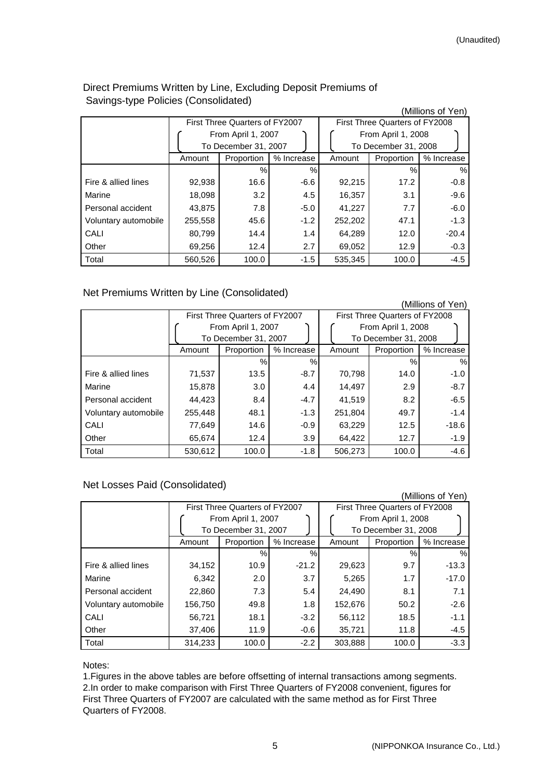|                      |         |                                |            |                                |                      | (Millions of Yen) |  |
|----------------------|---------|--------------------------------|------------|--------------------------------|----------------------|-------------------|--|
|                      |         | First Three Quarters of FY2007 |            | First Three Quarters of FY2008 |                      |                   |  |
|                      |         | From April 1, 2007             |            |                                | From April 1, 2008   |                   |  |
|                      |         | To December 31, 2007           |            |                                | To December 31, 2008 |                   |  |
|                      | Amount  | Proportion                     | % Increase | Amount                         | Proportion           | % Increase        |  |
|                      |         | %                              | $\%$       |                                | $\%$                 | %                 |  |
| Fire & allied lines  | 92,938  | 16.6                           | $-6.6$     | 92,215                         | 17.2                 | $-0.8$            |  |
| Marine               | 18,098  | 3.2                            | 4.5        | 16,357                         | 3.1                  | $-9.6$            |  |
| Personal accident    | 43,875  | 7.8                            | $-5.0$     | 41,227                         | 7.7                  | $-6.0$            |  |
| Voluntary automobile | 255,558 | 45.6                           | $-1.2$     | 252,202                        | 47.1                 | $-1.3$            |  |
| CALI                 | 80,799  | 14.4                           | 1.4        | 64,289                         | 12.0                 | $-20.4$           |  |
| Other                | 69,256  | 12.4                           | 2.7        | 69.052                         | 12.9                 | $-0.3$            |  |
| Total                | 560,526 | 100.0                          | $-1.5$     | 535,345                        | 100.0                | $-4.5$            |  |

# Direct Premiums Written by Line, Excluding Deposit Premiums of Savings-type Policies (Consolidated)

Net Premiums Written by Line (Consolidated)

(Millions of Yen)

|                      |         | First Three Quarters of FY2007 |            | First Three Quarters of FY2008 |                      |            |  |
|----------------------|---------|--------------------------------|------------|--------------------------------|----------------------|------------|--|
|                      |         | From April 1, 2007             |            | From April 1, 2008             |                      |            |  |
|                      |         | To December 31, 2007           |            |                                | To December 31, 2008 |            |  |
|                      | Amount  | Proportion                     | % Increase | Amount                         | Proportion           | % Increase |  |
|                      |         | %                              | %          |                                | %                    | %          |  |
| Fire & allied lines  | 71,537  | 13.5                           | $-8.7$     | 70,798                         | 14.0                 | $-1.0$     |  |
| Marine               | 15,878  | 3.0 <sub>2</sub>               | 4.4        | 14.497                         | 2.9                  | $-8.7$     |  |
| Personal accident    | 44,423  | 8.4                            | $-4.7$     | 41,519                         | 8.2                  | $-6.5$     |  |
| Voluntary automobile | 255,448 | 48.1                           | $-1.3$     | 251,804                        | 49.7                 | $-1.4$     |  |
| CALI                 | 77,649  | 14.6                           | $-0.9$     | 63,229                         | 12.5                 | $-18.6$    |  |
| Other                | 65,674  | 12.4                           | 3.9        | 64,422                         | 12.7                 | $-1.9$     |  |
| Total                | 530.612 | 100.0                          | $-1.8$     | 506.273                        | 100.0                | $-4.6$     |  |

## Net Losses Paid (Consolidated)

|                      |         |                                |               |                                |                      | (Millions of Yen) |  |
|----------------------|---------|--------------------------------|---------------|--------------------------------|----------------------|-------------------|--|
|                      |         | First Three Quarters of FY2007 |               | First Three Quarters of FY2008 |                      |                   |  |
|                      |         | From April 1, 2007             |               |                                | From April 1, 2008   |                   |  |
|                      |         | To December 31, 2007           |               |                                | To December 31, 2008 |                   |  |
|                      | Amount  | Proportion                     | % Increase    | Amount                         | Proportion           | % Increase        |  |
|                      |         | %                              | $\frac{0}{0}$ |                                | $\%$                 | $\%$              |  |
| Fire & allied lines  | 34,152  | 10.9                           | $-21.2$       | 29,623                         | 9.7                  | $-13.3$           |  |
| Marine               | 6,342   | 2.0                            | 3.7           | 5,265                          | 1.7                  | $-17.0$           |  |
| Personal accident    | 22,860  | 7.3                            | 5.4           | 24.490                         | 8.1                  | 7.1               |  |
| Voluntary automobile | 156,750 | 49.8                           | 1.8           | 152,676                        | 50.2                 | $-2.6$            |  |
| CALI                 | 56,721  | 18.1                           | $-3.2$        | 56,112                         | 18.5                 | $-1.1$            |  |
| Other                | 37,406  | 11.9                           | $-0.6$        | 35,721                         | 11.8                 | $-4.5$            |  |
| Total                | 314.233 | 100.0                          | $-2.2$        | 303,888                        | 100.0                | $-3.3$            |  |

Notes:

1.Figures in the above tables are before offsetting of internal transactions among segments. 2.In order to make comparison with First Three Quarters of FY2008 convenient, figures for First Three Quarters of FY2007 are calculated with the same method as for First Three Quarters of FY2008.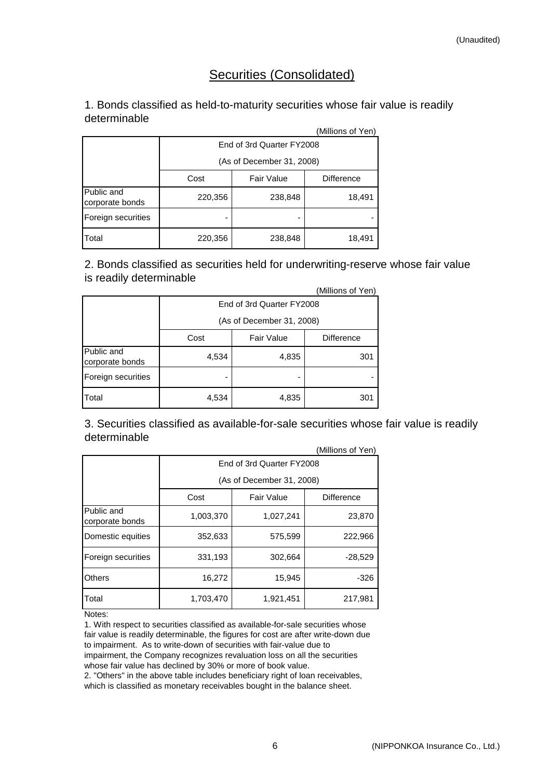# Securities (Consolidated)

# 1. Bonds classified as held-to-maturity securities whose fair value is readily determinable

|                               |                           |                   | (Millions of Yen) |  |  |  |
|-------------------------------|---------------------------|-------------------|-------------------|--|--|--|
|                               | End of 3rd Quarter FY2008 |                   |                   |  |  |  |
|                               | (As of December 31, 2008) |                   |                   |  |  |  |
|                               | Cost                      | <b>Fair Value</b> | <b>Difference</b> |  |  |  |
| Public and<br>corporate bonds | 220,356                   | 238,848           | 18,491            |  |  |  |
| Foreign securities            |                           |                   |                   |  |  |  |
| <b>T</b> otal                 | 220,356                   | 238,848           | 18,491            |  |  |  |

2. Bonds classified as securities held for underwriting-reserve whose fair value is readily determinable

| (Millions of Yen)             |                           |                           |                   |  |  |  |  |
|-------------------------------|---------------------------|---------------------------|-------------------|--|--|--|--|
|                               | End of 3rd Quarter FY2008 |                           |                   |  |  |  |  |
|                               |                           | (As of December 31, 2008) |                   |  |  |  |  |
|                               | Cost                      | <b>Fair Value</b>         | <b>Difference</b> |  |  |  |  |
| Public and<br>corporate bonds | 4,534                     | 4,835                     | 301               |  |  |  |  |
| Foreign securities            |                           |                           |                   |  |  |  |  |
| Total                         | 4,534                     | 4,835                     | 301               |  |  |  |  |

(Millions of Yen) 3. Securities classified as available-for-sale securities whose fair value is readily determinable

|                               |                           |                           | (Millions of Yen) |  |  |  |  |
|-------------------------------|---------------------------|---------------------------|-------------------|--|--|--|--|
|                               | End of 3rd Quarter FY2008 |                           |                   |  |  |  |  |
|                               |                           | (As of December 31, 2008) |                   |  |  |  |  |
|                               | Cost                      | <b>Fair Value</b>         | <b>Difference</b> |  |  |  |  |
| Public and<br>corporate bonds | 1,003,370                 | 1,027,241                 | 23,870            |  |  |  |  |
| Domestic equities             | 352,633                   | 575,599                   | 222,966           |  |  |  |  |
| Foreign securities            | 331,193                   | 302,664                   | $-28,529$         |  |  |  |  |
| <b>Others</b>                 | 16,272                    | 15,945                    | -326              |  |  |  |  |
| Total                         | 1,703,470                 | 1,921,451                 | 217,981           |  |  |  |  |

Notes:

1. With respect to securities classified as available-for-sale securities whose fair value is readily determinable, the figures for cost are after write-down due to impairment. As to write-down of securities with fair-value due to impairment, the Company recognizes revaluation loss on all the securities whose fair value has declined by 30% or more of book value.

2. "Others" in the above table includes beneficiary right of loan receivables, which is classified as monetary receivables bought in the balance sheet.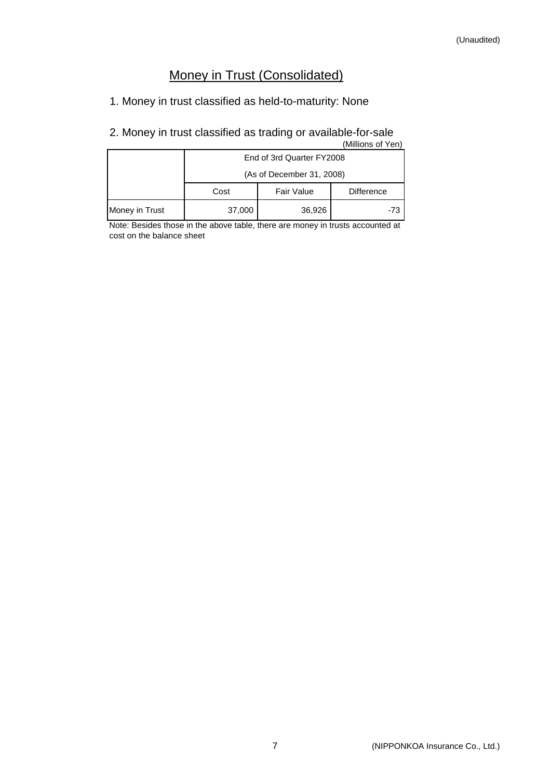# Money in Trust (Consolidated)

# 1. Money in trust classified as held-to-maturity: None

# 2. Money in trust classified as trading or available-for-sale

|                | (Millions of Yen)         |                   |                   |  |  |  |  |  |  |
|----------------|---------------------------|-------------------|-------------------|--|--|--|--|--|--|
|                | End of 3rd Quarter FY2008 |                   |                   |  |  |  |  |  |  |
|                | (As of December 31, 2008) |                   |                   |  |  |  |  |  |  |
|                | Cost                      | <b>Fair Value</b> | <b>Difference</b> |  |  |  |  |  |  |
| Money in Trust | 37,000<br>36,926<br>-73   |                   |                   |  |  |  |  |  |  |

Note: Besides those in the above table, there are money in trusts accounted at cost on the balance sheet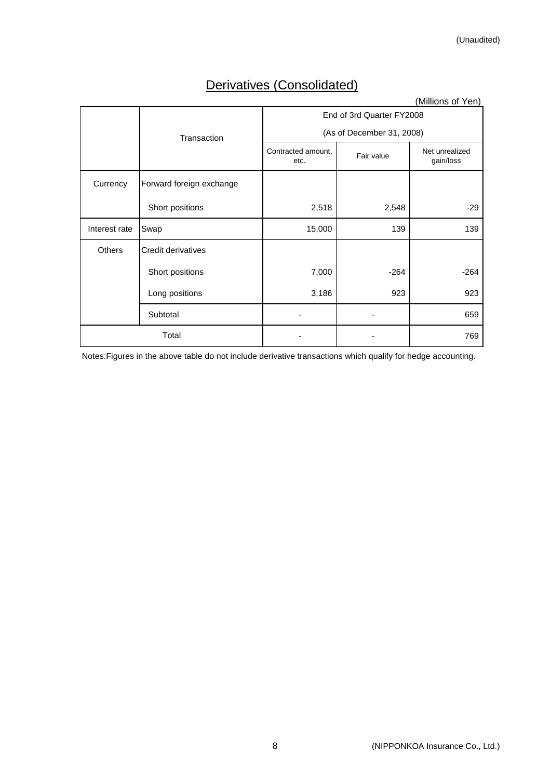# Derivatives (Consolidated)

|               |                          |                            |                           | (Millions of Yen)           |
|---------------|--------------------------|----------------------------|---------------------------|-----------------------------|
|               |                          |                            | End of 3rd Quarter FY2008 |                             |
|               | Transaction              |                            | (As of December 31, 2008) |                             |
|               |                          | Contracted amount,<br>etc. | Fair value                | Net unrealized<br>gain/loss |
| Currency      | Forward foreign exchange |                            |                           |                             |
|               | Short positions          | 2,518                      | 2,548                     | $-29$                       |
| Interest rate | Swap                     | 15,000                     | 139                       | 139                         |
| <b>Others</b> | Credit derivatives       |                            |                           |                             |
|               | Short positions          | 7,000                      | $-264$                    | $-264$                      |
|               | Long positions           | 3,186                      | 923                       | 923                         |
|               | Subtotal                 |                            |                           | 659                         |
|               | Total                    |                            |                           | 769                         |

Notes:Figures in the above table do not include derivative transactions which qualify for hedge accounting.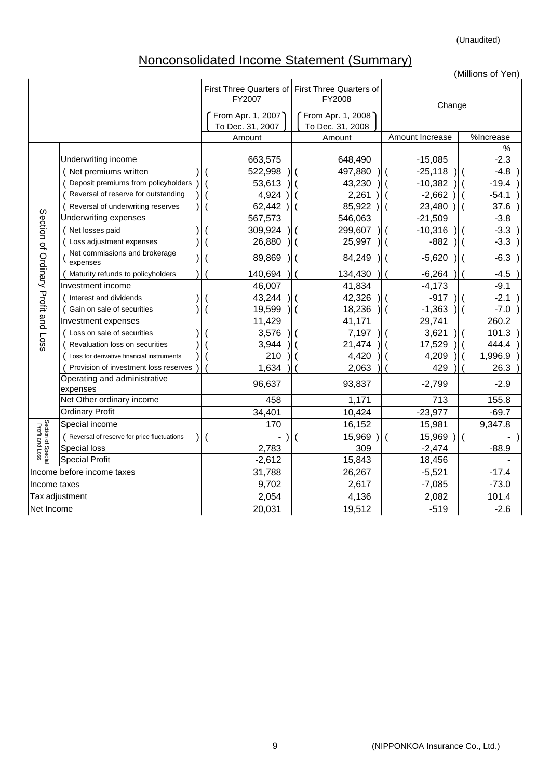(Unaudited)

# Nonconsolidated Income Statement (Summary)

|                                       |                                            |                    |                                                           |                           | (Millions of Yen)         |
|---------------------------------------|--------------------------------------------|--------------------|-----------------------------------------------------------|---------------------------|---------------------------|
|                                       |                                            | FY2007             | First Three Quarters of First Three Quarters of<br>FY2008 | Change                    |                           |
|                                       |                                            | From Apr. 1, 2007) | From Apr. 1, 2008                                         |                           |                           |
|                                       |                                            | To Dec. 31, 2007   | To Dec. 31, 2008                                          |                           |                           |
|                                       |                                            | Amount             | Amount                                                    | Amount Increase           | %Increase                 |
|                                       |                                            |                    |                                                           |                           | %                         |
|                                       | Underwriting income                        | 663,575            | 648,490                                                   | $-15,085$                 | $-2.3$                    |
|                                       | (Net premiums written                      | 522,998            | 497,880<br>$\overline{\phantom{a}}$                       | $-25,118$                 | $-4.8$ )                  |
|                                       | Deposit premiums from policyholders        | 53,613             | 43,230                                                    | $-10,382$                 | $-19.4)$                  |
|                                       | Reversal of reserve for outstanding        | $4,924$ )          | 2,261<br>$\lambda$                                        | $-2,662$ )                | $-54.1)$                  |
|                                       | Reversal of underwriting reserves          | $62,442$ )         | 85,922)                                                   | 23,480)                   | 37.6)                     |
|                                       | Underwriting expenses                      | 567,573            | 546,063                                                   | $-21,509$                 | $-3.8$                    |
|                                       | (Net losses paid                           | 309,924            | 299,607                                                   | $-10,316$                 | $-3.3)$                   |
|                                       | Loss adjustment expenses                   | 26,880             | 25,997<br>) I (                                           | $-882$                    | $-3.3)$                   |
| Section of Ordinary Profit and Loss   | Net commissions and brokerage<br>expenses  | 89,869             | 84,249<br>$\mathcal{L}$                                   | $-5,620$                  | $-6.3$ )<br>$\mathcal{L}$ |
|                                       | Maturity refunds to policyholders          | 140,694            | 134,430                                                   | $-6,264$                  | $-4.5$ )                  |
|                                       | Investment income                          | 46,007             | 41,834                                                    | $-4,173$                  | $-9.1$                    |
|                                       | Interest and dividends                     | 43,244             | 42,326<br>) I (                                           | $-917$                    | $-2.1)$                   |
|                                       | Gain on sale of securities                 | 19,599             | 18,236<br>$\mathbf{I}$                                    | $-1,363$<br>$\mathcal{L}$ | $-7.0$ )                  |
|                                       | Investment expenses                        | 11,429             | 41,171                                                    | 29,741                    | 260.2                     |
|                                       | Loss on sale of securities                 | 3,576              | 7,197                                                     | 3,621                     | 101.3)                    |
|                                       | Revaluation loss on securities             | 3,944              | 21,474                                                    | 17,529                    | $444.4$ )                 |
|                                       | Loss for derivative financial instruments  | 210                | 4,420                                                     | 4,209                     | $1,996.9$ )               |
|                                       | Provision of investment loss reserves      | 1,634              | 2,063                                                     | 429                       | 26.3                      |
|                                       | Operating and administrative<br>expenses   | 96,637             | 93,837                                                    | $-2,799$                  | $-2.9$                    |
|                                       | Net Other ordinary income                  | 458                | 1,171                                                     | 713                       | 155.8                     |
|                                       | <b>Ordinary Profit</b>                     | 34,401             | 10,424                                                    | $-23,977$                 | $-69.7$                   |
| Section of Special<br>Profit and Loss | Special income                             | 170                | 16,152                                                    | 15,981                    | 9,347.8                   |
|                                       | Reversal of reserve for price fluctuations |                    | $15,969$ )                                                | $15,969$ )                |                           |
|                                       | Special loss                               | 2,783              | 309                                                       | $-2,474$                  | $-88.9$                   |
|                                       | <b>Special Profit</b>                      | $-2,612$           | 15,843                                                    | 18,456                    |                           |
|                                       | Income before income taxes                 | 31,788             | 26,267                                                    | $-5,521$                  | $-17.4$                   |
| Income taxes                          |                                            | 9,702              | 2,617                                                     | $-7,085$                  | $-73.0$                   |
|                                       | Tax adjustment                             | 2,054              | 4,136                                                     | 2,082                     | 101.4                     |
| Net Income                            |                                            | 20,031             | 19,512                                                    | $-519$                    | $-2.6$                    |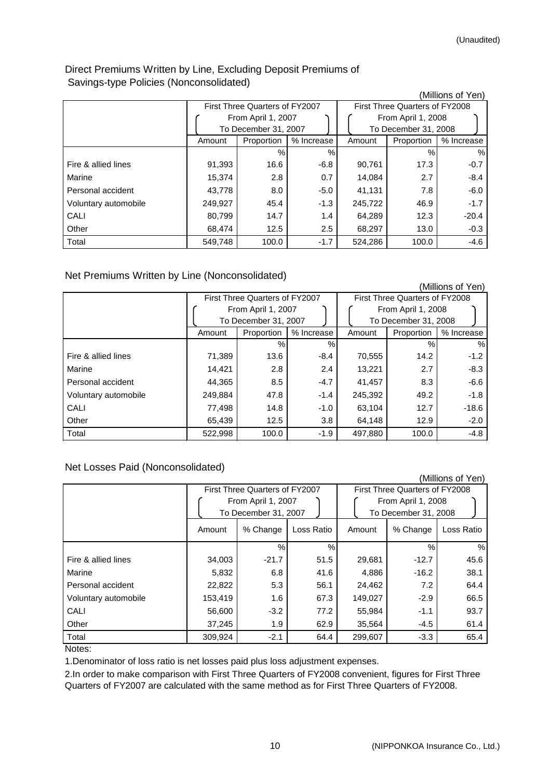# Direct Premiums Written by Line, Excluding Deposit Premiums of Savings-type Policies (Nonconsolidated)

|                      |         |                                |            |         |                                | (Millions of Yen) |  |
|----------------------|---------|--------------------------------|------------|---------|--------------------------------|-------------------|--|
|                      |         | First Three Quarters of FY2007 |            |         | First Three Quarters of FY2008 |                   |  |
|                      |         | From April 1, 2007             |            |         | From April 1, 2008             |                   |  |
|                      |         | To December 31, 2007           |            |         | To December 31, 2008           |                   |  |
|                      | Amount  | Proportion                     | % Increase | Amount  | Proportion                     | % Increase        |  |
|                      |         | %                              | $\%$       |         | %                              | $\%$              |  |
| Fire & allied lines  | 91,393  | 16.6                           | $-6.8$     | 90,761  | 17.3                           | $-0.7$            |  |
| Marine               | 15,374  | 2.8                            | 0.7        | 14,084  | 2.7                            | $-8.4$            |  |
| Personal accident    | 43,778  | 8.0                            | $-5.0$     | 41,131  | 7.8                            | $-6.0$            |  |
| Voluntary automobile | 249,927 | 45.4                           | $-1.3$     | 245,722 | 46.9                           | $-1.7$            |  |
| CALI                 | 80,799  | 14.7                           | 1.4        | 64,289  | 12.3                           | $-20.4$           |  |
| Other                | 68.474  | 12.5                           | 2.5        | 68,297  | 13.0                           | $-0.3$            |  |
| Total                | 549,748 | 100.0                          | $-1.7$     | 524,286 | 100.0                          | $-4.6$            |  |

## Net Premiums Written by Line (Nonconsolidated)

|                      |         |                                |            |         |                                | (Millions of Yen) |
|----------------------|---------|--------------------------------|------------|---------|--------------------------------|-------------------|
|                      |         | First Three Quarters of FY2007 |            |         | First Three Quarters of FY2008 |                   |
|                      |         | From April 1, 2007             |            |         | From April 1, 2008             |                   |
|                      |         | To December 31, 2007           |            |         | To December 31, 2008           |                   |
|                      | Amount  | Proportion                     | % Increase | Amount  | Proportion                     | % Increase        |
|                      |         | $\frac{0}{0}$                  | %          |         | %                              | %                 |
| Fire & allied lines  | 71,389  | 13.6                           | $-8.4$     | 70,555  | 14.2                           | $-1.2$            |
| Marine               | 14,421  | 2.8                            | 2.4        | 13,221  | 2.7                            | $-8.3$            |
| Personal accident    | 44,365  | 8.5                            | $-4.7$     | 41,457  | 8.3                            | $-6.6$            |
| Voluntary automobile | 249,884 | 47.8                           | $-1.4$     | 245,392 | 49.2                           | $-1.8$            |
| CALI                 | 77,498  | 14.8                           | $-1.0$     | 63,104  | 12.7                           | $-18.6$           |
| Other                | 65,439  | 12.5                           | 3.8        | 64,148  | 12.9                           | $-2.0$            |
| Total                | 522,998 | 100.0                          | $-1.9$     | 497,880 | 100.0                          | $-4.8$            |

# Net Losses Paid (Nonconsolidated)

|                      |                                                                              |          |            |         |                                                                              | (Millions of Yen) |
|----------------------|------------------------------------------------------------------------------|----------|------------|---------|------------------------------------------------------------------------------|-------------------|
|                      | First Three Quarters of FY2007<br>From April 1, 2007<br>To December 31, 2007 |          |            |         | First Three Quarters of FY2008<br>From April 1, 2008<br>To December 31, 2008 |                   |
|                      | Amount                                                                       | % Change | Loss Ratio | Amount  | % Change                                                                     | Loss Ratio        |
|                      |                                                                              | $\%$     | %          |         | $\frac{0}{0}$                                                                | $\%$              |
| Fire & allied lines  | 34,003                                                                       | $-21.7$  | 51.5       | 29,681  | $-12.7$                                                                      | 45.6              |
| Marine               | 5,832                                                                        | 6.8      | 41.6       | 4,886   | $-16.2$                                                                      | 38.1              |
| Personal accident    | 22,822                                                                       | 5.3      | 56.1       | 24,462  | 7.2                                                                          | 64.4              |
| Voluntary automobile | 153,419                                                                      | 1.6      | 67.3       | 149,027 | $-2.9$                                                                       | 66.5              |
| CALI                 | 56,600                                                                       | $-3.2$   | 77.2       | 55,984  | $-1.1$                                                                       | 93.7              |
| Other                | 37,245                                                                       | 1.9      | 62.9       | 35,564  | $-4.5$                                                                       | 61.4              |
| Total                | 309,924                                                                      | $-2.1$   | 64.4       | 299,607 | $-3.3$                                                                       | 65.4              |
| 1.1.1.1              |                                                                              |          |            |         |                                                                              |                   |

Notes:

1.Denominator of loss ratio is net losses paid plus loss adjustment expenses.

2.In order to make comparison with First Three Quarters of FY2008 convenient, figures for First Three Quarters of FY2007 are calculated with the same method as for First Three Quarters of FY2008.